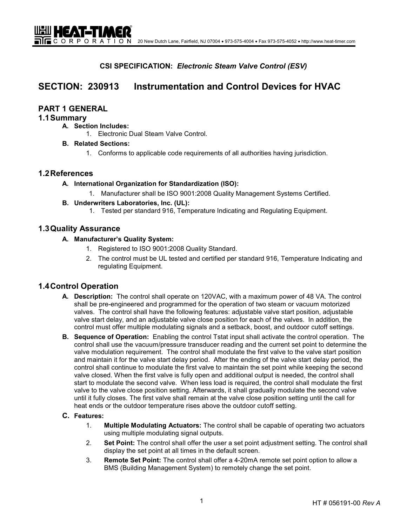**CSI SPECIFICATION:** *Electronic Steam Valve Control (ESV)* 

# **SECTION: 230913 Instrumentation and Control Devices for HVAC**

# **PART 1 GENERAL**

UEU HEAT-TIMER

### **1.1 Summary**

- **A. Section Includes:**
	- 1. Electronic Dual Steam Valve Control.
- **B. Related Sections:**
	- 1. Conforms to applicable code requirements of all authorities having jurisdiction.

### **1.2 References**

- **A. International Organization for Standardization (ISO):** 
	- 1. Manufacturer shall be ISO 9001:2008 Quality Management Systems Certified.
- **B. Underwriters Laboratories, Inc. (UL):** 
	- 1. Tested per standard 916, Temperature Indicating and Regulating Equipment.

### **1.3 Quality Assurance**

- **A. Manufacturer's Quality System:** 
	- 1. Registered to ISO 9001:2008 Quality Standard.
	- 2. The control must be UL tested and certified per standard 916, Temperature Indicating and regulating Equipment.

# **1.4 Control Operation**

- **A. Description:** The control shall operate on 120VAC, with a maximum power of 48 VA. The control shall be pre-engineered and programmed for the operation of two steam or vacuum motorized valves. The control shall have the following features: adjustable valve start position, adjustable valve start delay, and an adjustable valve close position for each of the valves. In addition, the control must offer multiple modulating signals and a setback, boost, and outdoor cutoff settings.
- **B. Sequence of Operation:** Enabling the control Tstat input shall activate the control operation. The control shall use the vacuum/pressure transducer reading and the current set point to determine the valve modulation requirement. The control shall modulate the first valve to the valve start position and maintain it for the valve start delay period. After the ending of the valve start delay period, the control shall continue to modulate the first valve to maintain the set point while keeping the second valve closed. When the first valve is fully open and additional output is needed, the control shall start to modulate the second valve. When less load is required, the control shall modulate the first valve to the valve close position setting. Afterwards, it shall gradually modulate the second valve until it fully closes. The first valve shall remain at the valve close position setting until the call for heat ends or the outdoor temperature rises above the outdoor cutoff setting.

#### **C. Features:**

- 1. **Multiple Modulating Actuators:** The control shall be capable of operating two actuators using multiple modulating signal outputs.
- 2. **Set Point:** The control shall offer the user a set point adjustment setting. The control shall display the set point at all times in the default screen.
- 3. **Remote Set Point:** The control shall offer a 4-20mA remote set point option to allow a BMS (Building Management System) to remotely change the set point.